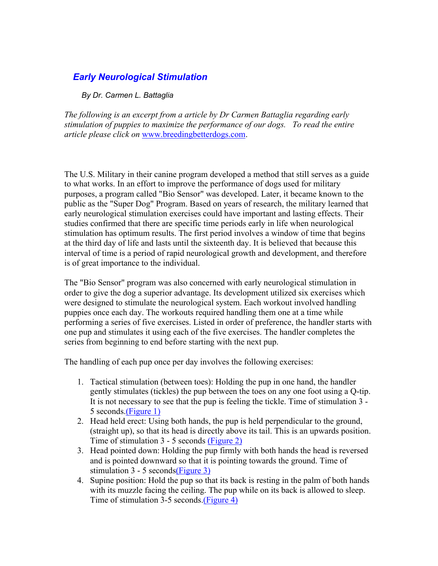## *Early Neurological Stimulation*

*By Dr. Carmen L. Battaglia*

*The following is an excerpt from a article by Dr Carmen Battaglia regarding early stimulation of puppies to maximize the performance of our dogs. To read the entire article please click on* www.breedingbetterdogs.com.

The U.S. Military in their canine program developed a method that still serves as a guide to what works. In an effort to improve the performance of dogs used for military purposes, a program called "Bio Sensor" was developed. Later, it became known to the public as the "Super Dog" Program. Based on years of research, the military learned that early neurological stimulation exercises could have important and lasting effects. Their studies confirmed that there are specific time periods early in life when neurological stimulation has optimum results. The first period involves a window of time that begins at the third day of life and lasts until the sixteenth day. It is believed that because this interval of time is a period of rapid neurological growth and development, and therefore is of great importance to the individual.

The "Bio Sensor" program was also concerned with early neurological stimulation in order to give the dog a superior advantage. Its development utilized six exercises which were designed to stimulate the neurological system. Each workout involved handling puppies once each day. The workouts required handling them one at a time while performing a series of five exercises. Listed in order of preference, the handler starts with one pup and stimulates it using each of the five exercises. The handler completes the series from beginning to end before starting with the next pup.

The handling of each pup once per day involves the following exercises:

- 1. Tactical stimulation (between toes): Holding the pup in one hand, the handler gently stimulates (tickles) the pup between the toes on any one foot using a Q-tip. It is not necessary to see that the pup is feeling the tickle. Time of stimulation 3 - 5 seconds.(Figure 1)
- 2. Head held erect: Using both hands, the pup is held perpendicular to the ground, (straight up), so that its head is directly above its tail. This is an upwards position. Time of stimulation 3 - 5 seconds (Figure 2)
- 3. Head pointed down: Holding the pup firmly with both hands the head is reversed and is pointed downward so that it is pointing towards the ground. Time of stimulation 3 - 5 seconds(Figure 3)
- 4. Supine position: Hold the pup so that its back is resting in the palm of both hands with its muzzle facing the ceiling. The pup while on its back is allowed to sleep. Time of stimulation 3-5 seconds.(Figure 4)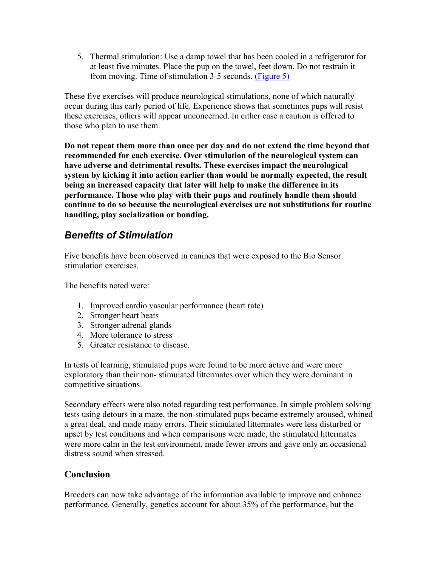5. Thermal stimulation: Use a damp towel that has been cooled in a refrigerator for at least five minutes. Place the pup on the towel, feet down. Do not restrain it from moving. Time of stimulation 3-5 seconds. (Figure 5)

These five exercises will produce neurological stimulations, none of which naturally occur during this early period of life. Experience shows that sometimes pups will resist these exercises, others will appear unconcerned. In either case a caution is offered to those who plan to use them.

**Do not repeat them more than once per day and do not extend the time beyond that recommended for each exercise. Over stimulation of the neurological system can have adverse and detrimental results. These exercises impact the neurological system by kicking it into action earlier than would be normally expected, the result being an increased capacity that later will help to make the difference in its performance. Those who play with their pups and routinely handle them should continue to do so because the neurological exercises are not substitutions for routine handling, play socialization or bonding.**

## *Benefits of Stimulation*

Five benefits have been observed in canines that were exposed to the Bio Sensor stimulation exercises.

The benefits noted were:

- 1. Improved cardio vascular performance (heart rate)
- 2. Stronger heart beats
- 3. Stronger adrenal glands
- 4. More tolerance to stress
- 5. Greater resistance to disease.

In tests of learning, stimulated pups were found to be more active and were more exploratory than their non- stimulated littermates over which they were dominant in competitive situations.

Secondary effects were also noted regarding test performance. In simple problem solving tests using detours in a maze, the non-stimulated pups became extremely aroused, whined a great deal, and made many errors. Their stimulated littermates were less disturbed or upset by test conditions and when comparisons were made, the stimulated littermates were more calm in the test environment, made fewer errors and gave only an occasional distress sound when stressed.

## **Conclusion**

Breeders can now take advantage of the information available to improve and enhance performance. Generally, genetics account for about 35% of the performance, but the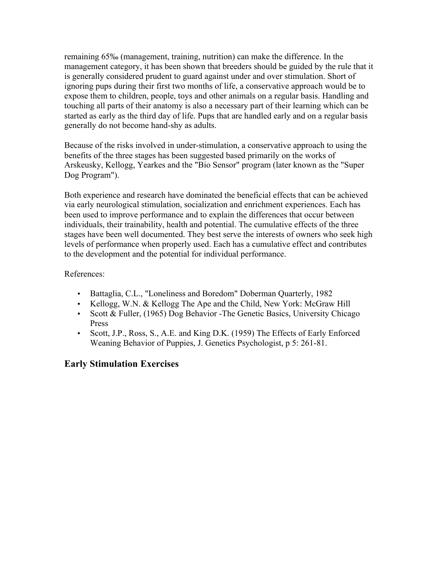remaining 65‰ (management, training, nutrition) can make the difference. In the management category, it has been shown that breeders should be guided by the rule that it is generally considered prudent to guard against under and over stimulation. Short of ignoring pups during their first two months of life, a conservative approach would be to expose them to children, people, toys and other animals on a regular basis. Handling and touching all parts of their anatomy is also a necessary part of their learning which can be started as early as the third day of life. Pups that are handled early and on a regular basis generally do not become hand-shy as adults.

Because of the risks involved in under-stimulation, a conservative approach to using the benefits of the three stages has been suggested based primarily on the works of Arskeusky, Kellogg, Yearkes and the "Bio Sensor" program (later known as the "Super Dog Program").

Both experience and research have dominated the beneficial effects that can be achieved via early neurological stimulation, socialization and enrichment experiences. Each has been used to improve performance and to explain the differences that occur between individuals, their trainability, health and potential. The cumulative effects of the three stages have been well documented. They best serve the interests of owners who seek high levels of performance when properly used. Each has a cumulative effect and contributes to the development and the potential for individual performance.

#### References:

- Battaglia, C.L., "Loneliness and Boredom" Doberman Quarterly, 1982
- Kellogg, W.N. & Kellogg The Ape and the Child, New York: McGraw Hill
- Scott & Fuller, (1965) Dog Behavior The Genetic Basics, University Chicago Press
- Scott, J.P., Ross, S., A.E. and King D.K. (1959) The Effects of Early Enforced Weaning Behavior of Puppies, J. Genetics Psychologist, p 5: 261-81.

### **Early Stimulation Exercises**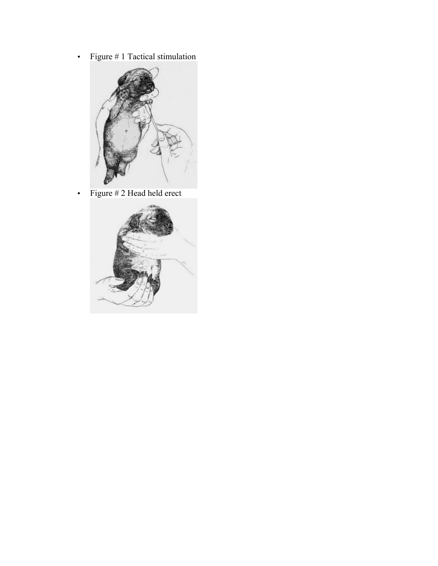• Figure # 1 Tactical stimulation



• Figure # 2 Head held erect

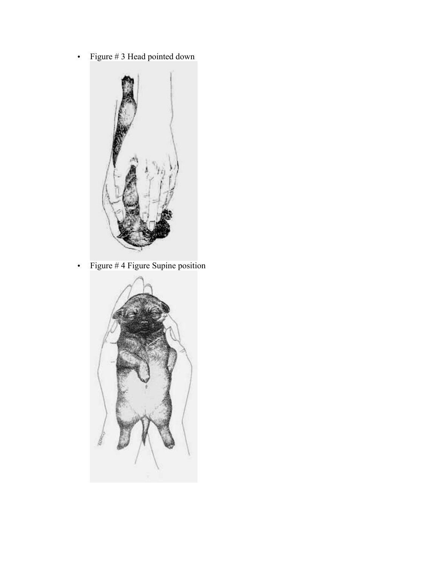• Figure # 3 Head pointed down



• Figure # 4 Figure Supine position